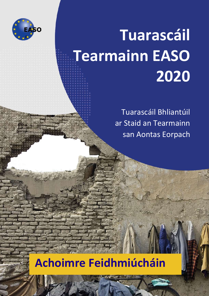

# <sup>E</sup> **Tuarascáil Tearmainn EASO 2020**

Tuarascáil Bhliantúil ar Staid an Tearmainn san Aontas Eorpach

## **Achoimre Feidhmiúcháin**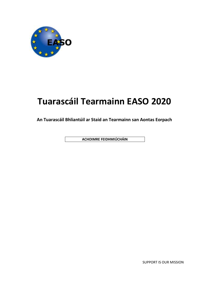

## **Tuarascáil Tearmainn EASO 2020**

**An Tuarascáil Bhliantúil ar Staid an Tearmainn san Aontas Eorpach**

**ACHOIMRE FEIDHMIÚCHÁIN**

SUPPORT IS OUR MISSION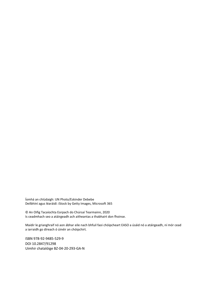Íomhá an chlúdaigh: UN Photo/Eskinder Debebe Deilbhíní agus léaráidí: iStock by Getty Images, Microsoft 365

© An Oifig Tacaíochta Eorpach do Chúrsaí Tearmainn, 2020 Is ceadmhach seo a atáirgeadh ach aitheantas a thabhairt don fhoinse.

Maidir le grianghraif nó aon ábhar eile nach bhfuil faoi chóipcheart EASO a úsáid nó a atáirgeadh, ní mór cead a iarraidh go díreach ó úinéir an chóipchirt.

ISBN 978-92-9485-529-9 DOI 10.2847/91298 Uimhir chatalóige BZ-04-20-293-GA-N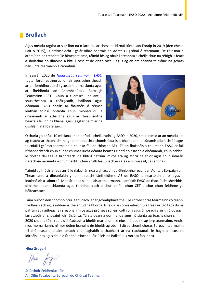### **Brollach**

Agus méadú tagtha arís ar líon na n-iarratas ar chosaint idirnáisiúnta san Eoraip in 2019 (den chéad uair ó 2015), is ardtosaíocht i gclár oibre beartais an Aontais i gcónaí é tearmann. De réir mar a athraíonn na treochtaí le himeacht ama, táimid fós ag obair i dteannta a chéile chun na réitigh is fearr a sholáthar do dhaoine a bhfuil cosaint de dhíth orthu, agus ag an am céanna tá sláine na gcóras náisiúnta tearmainn á caomhnú.

In eagrán 2020 de *[Thuarascáil Tearmainn EASO](https://easo.europa.eu/asylum-report)* tugtar forbhreathnú achomair agus cuimsitheach ar phríomhfhorbairtí i gcosaint idirnáisiúnta agus ar fheidhmiú an Chomhchórais Eorpaigh Tearmainn (CET). Chun a tuarascáil bhliantúil shuaitheanta a tháirgeadh, bailíonn agus déanann EASO anailís ar fhaisnéis ó réimse leathan foinsí iontaofa chun mionscrúdú a dhéanamh ar athruithe agus ar fheabhsuithe beartais le linn na bliana, agus leagtar béim ar na dúshláin atá fós le sárú.



Ó tharla go bhfuil 10 mbliana ar an bhfód á cheiliúradh ag EASO in 2020, smaoinímid ar an méadú atá ag teacht ar thábhacht na gníomhaireachta chomh fada is a bhaineann le cúnamh oibríochtúil agus teicniúil i gcúrsaí tearmainn a chur ar fáil do thíortha AE+. Tá an fhaisnéis a chuireann EASO ar fáil ríthábhachtach chun cur ar chumas lucht déanta beartas cinntí eolasacha a dhéanamh, chun cabhrú le tíortha déileáil le tírdhreach ina bhfuil patrúin imirce atá ag athrú de shíor agus chun údaráis riaracháin náisiúnta a chumhachtú chun sruth leanúnach iarratas a phróiseáil, cás ar chás.

Táimid ag tnúth le fada an lá le rialachán nua a ghlacadh do Ghníomhaireacht an Aontais Eorpaigh um Thearmann, a dhéanfaidh gníomhaireacht lánfheidhme AE de EASO, a neartóidh a ról agus a leathnóidh a sainordú. Mar lárionad saineolais ar thearmann, leanfaidh EASO de thacaíocht sheirbhísdhírithe, neamhchlaonta agus thrédhearcach a chur ar fáil chun CET a chur chun feidhme go héifeachtach.

Táim buíoch den chomhoibriú leanúnach lenár gcomhpháirtithe uile i dtreo córas tearmainn coiteann, trédhearcach agus inbhuanaithe ar fud na hEorpa. Is féidir le córais éifeachtúla freagairt go tapa do na patrúin athraitheacha i sreabha imirce agus próiseas soiléir, cothrom agus ómósach a áirithiú do gach iarratasóir ar chosaint idirnáisiúnta. Tá staideanna domhanda agus náisiúnta ag teacht chun cinn in 2020 cheana féin, rud a d'fhéadfadh a bheith mar bhonn le níos mó daoine ag lorg tearmainn. Anois, níos mó ná riamh, ní mór dúinn leanúint de bheith ag obair i dtreo chomhchóras Eorpach tearmainn trí chóineasú a bhaint amach chun aghaidh a thabhairt ar na riachtanais le haghaidh cosaint idirnáisiúnta agus chun dlúthpháirtíocht a léiriú leis na Ballstáit is mó atá faoi bhrú.

**Nina Gregori**

Nua fry

Stiúrthóir Feidhmiúcháin An Oifig Tacaíochta Eorpach do Chúrsaí Tearmainn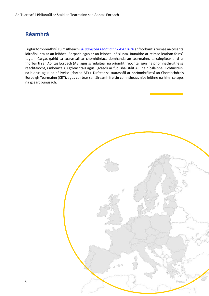## **Réamhrá**

Tugtar forbhreathnú cuimsitheach i *[dTuarascáil Tearmainn EASO 2020](https://easo.europa.eu/asylum-report)* ar fhorbairtí i réimse na cosanta idirnáisiúnta ar an leibhéal Eorpach agus ar an leibhéal náisiúnta. Bunaithe ar réimse leathan foinsí, tugtar léargas gairid sa tuarascáil ar chomhthéacs domhanda an tearmainn, tarraingítear aird ar fhorbairtí san Aontas Eorpach (AE) agus scrúdaítear na príomhthreochtaí agus na príomhathruithe sa reachtaíocht, i mbeartais, i gcleachtais agus i gcásdlí ar fud Bhallstáit AE, na hÍoslainne, Lichtinstéin, na hIorua agus na hEilvéise (tíortha AE+). Dírítear sa tuarascáil ar phríomhréimsí an Chomhchórais Eorpaigh Tearmainn (CET), agus cuirtear san áireamh freisin comhthéacs níos leithne na himirce agus na gceart bunúsach.

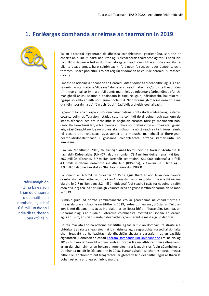## **1. Forléargas domhanda ar réimse an tearmainn in 2019**



Tá an t-easáitiú éigeantach de dheasca coinbhleachta, géarleanúna, sáruithe ar chearta an duine, tubaistí nádúrtha agus éiceachórais tháireacha ag tarlú i ndáil leis na milliúin daoine ar fud an domhain atá ag teitheadh óna dtithe ar thóir slándála. Le blianta beaga anuas, ba é coinbhleacht, foréigean foircneach agus éagobhsaíocht thromchúiseach pholaitiúil i roinnt réigiún ar domhan ba chúis le heasáitiú suntasach daonra.

I measc na ndaoine a ndéanann an t-easáitiú difear dóibh tá dídeanaithe, agus is é an sainmhíniú atá luaite le 'dídeanaí' duine ar cuireadh iallach air/uirthi teitheadh óna t(h)ír mar gheall ar imní a bhfuil bunús maith leis go ndéanfar géarleanúint air/uirthi mar gheall ar chúiseanna a bhaineann le cine, reiligiún, náisiúntacht, ballraíocht i ngrúpa sóisialta ar leith nó tuairim pholaitiúil. Níor thrasnaigh 'daoine easáitithe ina dtír féin' teorainn a dtír féin ach fós d'fhéadfaidís a bheith leochaileach.

I gcomhthéacs na hEorpa, cuimsíonn cosaint idirnáisiúnta stádas dídeanaí agus stádas cosanta coimhdí. Tagraíonn stádas cosanta coimhdí do dhaoine nach gcáilíonn do stádas dídeanaí ach atá incháilithe le haghaidh cosanta toisc go mbaineann baol díobhála tromchúisí leo, arb é pionós an bháis nó forghníomhú an bháis atá i gceist leis; céastóireacht nó íde nó pionós atá mídhaonna nó táireach sa tír thionscnaimh; nó bagairt thromchúiseach agus aonair ar a mbeatha mar gheall ar fhoréigean neamh-idirdhealaitheach i gcásanna coinbhleachta armtha idirnáisiúnta nó inmheánaí.

I mí an Mheithimh 2019, thuairiscigh Ard-Choimisinéir na Náisiún Aontaithe le haghaidh Dídeanaithe (UNHCR) daonra iomlán 79.4 milliún duine, lena n-áirítear 20.2 milliún dídeanaí, 3.7 milliún iarrthóir tearmainn, 531 000 dídeanaí a d'fhill, 43.9 milliún daoine easáitithe ina dtír féin (IDPanna), 2.3 milliún IDP fillte agus 3.9 milliún daoine gan stát a d'fhill faoi shainordú UNHCR.

Ba ionann an 6.6 milliún dídeanaí ón tSiria agus thart ar aon trian den daonra domhanda dídeanaithe, agus ba é an Afganastáin agus an tSúdáin Theas a tháinig ina diaidh, le 2.7 milliún agus 2.2 milliún dídeanaí faoi seach. I gcás na ndaoine a raibh cosaint á lorg acu, ba náisiúnaigh Veiniséalacha an grúpa iarrthóirí tearmainn ba mhó in 2019.

Is minic gurb iad tíortha comharsanacha croílár géarchéime na chéad tíortha a fhreastalaíonn ar dhaoine easáitithe. In 2019, i ndearbhthéarmaí, d'óstáil an Tuirc an líon is mó dídeanaithe, agus ina diaidh ar an liosta bhí an Phacastáin, Uganda, an Ghearmáin agus an tSúdáin. I dtéarmaí coibhneasta, d'óstáil an Liobáin, an Iordáin agus an Tuirc, an sciar is airde dídeanaithe i gcomparáid le méid a gcud daonraí.

De réir mar atá líon na ndaoine easáitithe ag fás ar fud an domhain, tá straitéisí á bhforbairt ag rialtais, eagraíochtaí idirnáisiúnta agus eagraíochtaí na sochaí sibhialta chun freagairt go héifeachtach do dhúshláin chasta a eascraíonn as an easáitiú éigeantach. Tionóladh an chéad [Fhóram Domhanda um Dhídeanaithe](https://www.unhcr.org/global-refugee-forum.html) i mí na Nollag 2019 chun monatóireacht a dhéanamh ar fhorbairtí agus athbhreithniú a dhéanamh ar an dul chun cinn ar an bplean gníomhaíochta a leagadh síos faoin gComhshocrú Domhanda maidir le Dídeanaithe in 2018. Tugtar aghaidh sa chomhshocrú, i measc nithe eile, ar chomhroinnt freagrachta, ar ghlacadh le dídeanaithe, agus ar thacú le pobail óstacha ar bhealach inbhuanaithe.

Náisiúnaigh ón tSiria ba ea aon trian de dhaonra dídeanaithe an domhain, agus bhí 6.6 milliún díobh i ndiaidh teitheadh óna dtír féin.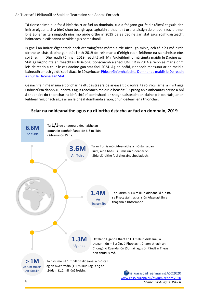An Tuarascáil Bhliantúil ar Staid an Tearmainn san Aontas Eorpach

Tá tionscnaimh nua fós á bhforbairt ar fud an domhain, rud a fhágann gur féidir réimsí éagsúla den imirce éigeantach a bhrú chun tosaigh agus aghaidh a thabhairt orthu laistigh de phobal níos leithne. Dhá ábhar ar tarraingíodh níos mó airde orthu in 2019 ba ea daoine gan stát agus soghluaisteacht bainteach le cúiseanna aeráide agus comhshaoil.

Is gné í an imirce éigeantach nach dtarraingítear mórán airde uirthi go minic, ach tá níos mó airde dírithe ar chás daoine gan stát i rith 2019 de réir mar a d'éirigh raon feidhme na saincheiste níos soiléire. I mí Dheireadh Fómhair 2019, reáchtáladh Mír Ardleibhéil idirnáisiúnta maidir le Daoine gan Stát ag lárphointe an fheachtais #IBelong, tionscnamh a sheol UNHCR in 2014 a raibh sé mar aidhm leis deireadh a chur le cás daoine gan stát faoi 2024. Ag an ócáid, rinneadh measúnú ar an méid a baineadh amach go dtí seo i dtaca le 10 sprioc a[n Phlean Gníomhaíochta Domhanda maidir le Deireadh](https://resourcecentre.savethechildren.net/library/global-action-plan-end-statelessness-2014-24)  [a chur le Daoine gan Stát.](https://resourcecentre.savethechildren.net/library/global-action-plan-end-statelessness-2014-24)

Cé nach feiniméan nua é tionchar na dtubaistí aeráide ar easáitiú daonra, tá ról níos lárnaí á imirt aige i ndioscúrsa daonnúil, beartais agus reachtach maidir le heasáitiú. Spreag an t-aitheantas breise a bhí á thabhairt do thionchar na bhfachtóirí comhshaoil ar shoghluaisteacht an duine plé beartais, ar an leibhéal réigiúnach agus ar an leibhéal domhanda araon, chun déileáil lena thionchar.

#### **Sciar na ndídeanaithe agus na dtíortha óstacha ar fud an domhain, 2019**



#TuarascáilTearmainnEASO2020 [www.easo.europa.eu/asylum-report-2020](http://www.easo.europa.eu/asylum-report-2020) *Foinse: EASO agus UNHCR*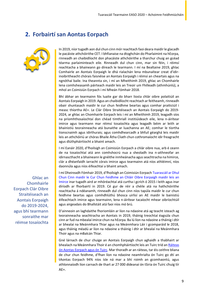## **2. Forbairtí san Aontas Eorpach**



In 2019, níor tugadh aon dul chun cinn mór reachtach faoi deara maidir le glacadh le pacáiste athchóirithe CET. I bhfianaise na dtoghchán do Pharlaimint na hEorpa, rinneadh an chaibidlíocht don phacáiste athchóirithe a tharchur chuig an gcéad téarma parlaiminteach eile. Rinneadh dul chun cinn, mar sin féin, i réimsí reachtacha a bhaineann go díreach le tearmann. I mí na Bealtaine 2019, ghlac Comhairle an Aontais Eorpaigh le dhá rialachán lena mbunaítear creat d'idirinoibritheacht chórais faisnéise an Aontais Eorpaigh i réimsí an cheartais agus na ngnóthaí baile. Ina theannta sin, i mí an Mheithimh 2019, ghlac an Chomhairle lena comhsheasamh páirteach maidir leis an Treoir um Fhilleadh (athmhúnlú), a mhol an Coimisiún Eorpach i mí Mheán Fómhair 2018.

Bhí ábhar an tearmainn fós luaite gar do bharr liosta chlár oibre polaitiúil an Aontais Eorpaigh in 2019. Agus an chaibidlíocht reachtach ar feitheamh, rinneadh obair shuntasach maidir le cur chun feidhme beartas agus comhar praiticiúil i measc thíortha AE+. Le Clár Oibre Straitéiseach an Aontais Eorpaigh do 2019- 2024, ar ghlac an Chomhairle Eorpach leis i mí an Mheithimh 2019, leagadh síos na príomhthosaíochtaí don chéad timthriall institiúideach eile, lena n-áirítear imirce agus tearmann mar réimsí tosaíochta agus leagadh béim ar leith ar bhainistiú teorainneacha atá bunaithe ar luachanna an AE; comhar le tíortha tionscnaimh agus idirthurais; agus comhdhearcadh a bhfuil géarghá leis maidir leis an athchóiriú ar chóras Bhaile Átha Cliath chun cothromaíocht idir freagracht agus dlúthpháirtíocht a bhaint amach.

I mí Eanáir 2020, d'fhoilsigh an Coimisiún Eorpach a chlár oibre nua, arb é ceann de na tosaíochtaí atá ann comhshocrú nua a sheoladh ina n-aithneofar an idirnascthacht a bhaineann le gnéithe inmheánacha agus seachtracha na himirce, clár a dhéanfaidh iarracht córais imirce agus tearmainn atá níos athléimní, níos daonnúla agus níos éifeachtaí a bhaint amach.

I mí Dheireadh Fómhair 2019, d'fhoilsigh an Coimisiún Eorpach [Tuarascáil ar Dhul](https://ec.europa.eu/home-affairs/sites/homeaffairs/files/what-we-do/policies/european-agenda-migration/20191016_com-2019-481-report_en.pdf)  [Chun Cinn maidir le Cur Chun Feidhme an Chláir Oibre Eorpaigh maidir leis an](https://ec.europa.eu/home-affairs/sites/homeaffairs/files/what-we-do/policies/european-agenda-migration/20191016_com-2019-481-report_en.pdf)  [Imirce](https://ec.europa.eu/home-affairs/sites/homeaffairs/files/what-we-do/policies/european-agenda-migration/20191016_com-2019-481-report_en.pdf) inar tugadh aird ar mhóréachtaí atá curtha i gcrích ó 2015 i leith agus inar díríodh ar fhorbairtí in 2019. Cé gur de réir a chéile atá na hathchóirithe reachtacha á ndéanamh, rinneadh dul chun cinn níos tapúla maidir le cur chun feidhme beartas agus comhdhlúthú bhosca uirlisí an AE maidir le bainistiú éifeachtach imirce agus tearmainn, lena n-áirítear tacaíocht mhear oibríochtúil agus airgeadais do Bhallstáit atá faoi níos mó brú.

D'ainneoin an laghdaithe fhoriomláin ar líon na ndaoine atá ag teacht isteach ag teorainneacha seachtracha an Aontais in 2019, tháinig treochtaí éagsúla chun cinn ar fud na mbealaí imirce chun na hEorpa. Ba lú líon na ndaoine a tháinig i dtír ar bhealaí na Meánmhara Thiar agus na Meánmhara Láir i gcomparáid le 2018, agus tháinig méadú ar líon na ndaoine a tháinig í dtír ar bhealaí na Meánmhara Thoir agus na mBalcán Thiar.

Gné lárnach de chur chuige an Aontais Eorpaigh chun aghaidh a thabhairt ar bhealach na Meánmhara Thoir é an chomhpháirtíocht leis an Tuirc tríd a[n Ráiteas](https://ec.europa.eu/home-affairs/sites/homeaffairs/files/what-we-do/policies/european-agenda-migration/20200318_managing-migration-eu-turkey-statement-4-years-on_en.pdf)  [ón Aontas Eorpach agus ón Tuirc.](https://ec.europa.eu/home-affairs/sites/homeaffairs/files/what-we-do/policies/european-agenda-migration/20200318_managing-migration-eu-turkey-statement-4-years-on_en.pdf) Mar thoradh ar an ráiteas, tar éis ceithre bliana de chur chun feidhme, d'fhan líon na ndaoine neamhrialta ón Tuirc go dtí an tAontas Eorpach 94% níos ísle ná mar a bhí roimh an gcomhaontú, agus athlonnaíodh líon carnach de thart ar 27 000 dídeanaí ón tSiria ón Tuirc chuig tír AE+.

Ghlac an **Chomhairle** Eorpach Clár Oibre Straitéiseach an Aontais Eorpaigh do 2019-2024, agus bhí tearmann sonraithe mar réimse tosaíochta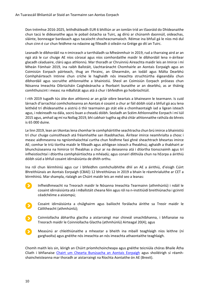Don tréimhse 2016-2025, leithdháileadh EUR 6 bhilliún ar an iomlán tríd an tSaoráid do Dhídeanaithe chun tacú le dídeanaithe agus le pobail óstacha sa Tuirc, ag díriú ar chúnamh daonnúil, oideachas, sláinte, bonneagar bardasach agus tacaíocht shocheacnamaíoch. Réimse ina bhfuil gá le níos mó dul chun cinn é cur chun feidhme na ndaoine ag filleadh ó oileáin na Gréige go dtí an Tuirc.

Leanadh le díbhordáil na n-imirceach a tarrtháladh sa Mheánmhuir in 2019, rud a tharraing aird ar an ngá atá le cur chuige AE níos córasaí agus níos comhordaithe maidir le díbhordáil lena n-áirítear glacadh céaduaire, clárú agus athlonnú. Mar thoradh ar Chruinniú Aireachta maidir leis an Imirce i mí Mheán Fómhair 2019, ina raibh Ballstáit, Uachtaránacht Chomhairle an Aontais Eorpaigh agus an Coimisiún Eorpach páirteach, thug an Fhrainc, an Ghearmáin, an Iodáil agus Málta Dearbhú Comhpháirteach Intinne chun críche le haghaidh nós imeachta struchtúrtha éigeandála chun díbhordáil agus socruithe athlonnaithe a bhainistiú. Sheol an Coimisiún Eorpach próiseas chun Nósanna Imeachta Oibriúcháin Caighdeánacha a fhorbairt bunaithe ar an dearbhú, as ar tháinig comhthuiscint i measc na mBallstát agus atá á chur i bhfeidhm go hoibríochtúil.

I rith 2019 tugadh tús áite don athlonnú ar an gclár oibre beartais a bhaineann le tearmann. Is cuid lárnach d'iarrachtaí comhchoiteanna an Aontais é cosaint a chur ar fáil dóibh siúd a bhfuil gá acu lena leithéid trí dhídeanaithe a aistriú ó thír tearmainn go stát eile a chomhaontaigh iad a ligean isteach agus, i ndeireadh na dála, socrú buan a cheadú dóibh. Seoladh an Scéim Athlonnaithe Eorpach i mí Iúil 2015 agus, amhail ag mí na Nollag 2019, bhí cabhair tugtha ag dhá chlár athlonnaithe rathúla do bhreis is 65 000 duine.

Le linn 2019, lean an tAontas lena chomhar le comhpháirtithe seachtracha chun brú imirce a bhainistiú trí chur chuige cuimsitheach atá fréamhaithe san iltaobhachas. Áirítear imirce neamhrialta a chosc i measc aidhmeanna na ngníomhaíochtaí curtha chun feidhme faoi ghné sheachtrach bheartas imirce AE; comhar le tríú tíortha maidir le filleadh agus athligean isteach a fheabhsú; aghaidh a thabhairt ar bhunchúiseanna na himirce trí fheabhas a chur ar na deiseanna atá i dtíortha tionscnaimh agus trí infheistíochtaí i dtíortha comhpháirtíochta a mhéadú; agus conairí dlíthiúla chun na hEorpa a áirithiú dóibh siúd a bhfuil cosaint idirnáisiúnta de dhíth orthu.

Ina ról chun léirmhíniú agus cur i bhfeidhm comhchuibhithe dhlí an AE a áirithiú, d'eisigh Cúirt Bhreithiúnais an Aontais Eorpaigh (CBAE) 12 bhreithiúnas in 2019 a bhain le réamhrialuithe ar CET a léirmhíniú. Mar shampla, rialaigh an Chúirt maidir leis an méid seo a leanas:

- Infheidhmeacht na Treorach maidir le Nósanna Imeachta Tearmainn (athmhúnlú) i ndáil le cosaint idirnáisiúnta atá i mBallstáit cheana féin agus ról na n-institiúidí breithiúnacha i gcinntí céadchéime a aisiompú;
- Cosaint idirnáisiúnta a chúlghairm agus bailíocht forálacha áirithe sa Treoir maidir le Cáilitheacht (athmhúnlú);
- Coinníollacha ábhartha glactha a aistarraingt mar chineál smachtbhanna, i bhfianaise na Treorach maidir le Coinníollacha Glactha (athmhúnlú) Airteagal 20(4); agus
- Measúnú ar chleithiúnaithe a mheastar a bheith ina mbaill teaghlaigh níos leithne (ní garghaolta) agus gnéithe nós imeachta an nós imeachta athaontaithe teaghlaigh.

Chomh maith leis sin, léirigh an Chúirt príomhchoincheapa agus gnéithe teicniúla chóras Bhaile Átha Cliath i bhfianaise [Chairt um Chearta Bunúsacha an Aontais Eorpaigh](http://eur-lex.europa.eu/legal-content/GA/TXT/PDF/?uri=CELEX:12012P/TXT&from=EN) agus shoiléirigh sí réamhshaincheisteanna mar thoradh ar aistarraingt na Ríochta Aontaithe ón AE (Brexit).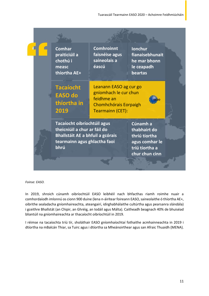|  | <b>Comhar</b><br>praiticiúil a<br>chothú i<br>measc<br>thíortha AE+                                                                            | <b>Comhroinnt</b><br>faisnéise agus<br>saineolais a<br>éascú                                                      | <b>Ionchur</b><br>fianaisebhunait<br>he mar bhonn<br>le ceapadh<br>beartas                      |  |
|--|------------------------------------------------------------------------------------------------------------------------------------------------|-------------------------------------------------------------------------------------------------------------------|-------------------------------------------------------------------------------------------------|--|
|  | <b>Tacaíocht</b><br><b>EASO do</b><br>thíortha in<br>2019                                                                                      | Leanann EASO ag cur go<br>gníomhach le cur chun<br>feidhme an<br><b>Chomhchórais Eorpaigh</b><br>Tearmainn (CET): |                                                                                                 |  |
|  | Tacaíocht oibríochtúil agus<br>theicniúil a chur ar fáil do<br><b>Bhallstáit AE a bhfuil a gcórais</b><br>tearmainn agus ghlactha faoi<br>bhrú |                                                                                                                   | Cúnamh a<br>thabhairt do<br>thríú tíortha<br>agus comhar le<br>tríú tíortha a<br>chur chun cinn |  |
|  |                                                                                                                                                |                                                                                                                   |                                                                                                 |  |

*Foinse: EASO.*

In 2019, shroich cúnamh oibríochtúil EASO leibhéil nach bhfacthas riamh roimhe nuair a comhordaíodh imlonnú os cionn 900 duine (lena n-áirítear foireann EASO, saineolaithe ó thíortha AE+, oibrithe sealadacha gníomhaireachta, ateangairí, idirghabhálaithe cultúrtha agus pearsanra slándála) i gceithre Bhallstát (an Chipir, an Ghréig, an Iodáil agus Málta). Caitheadh beagnach 40% de bhuiséad bliantúil na gníomhaireachta ar thacaíocht oibríochtúil in 2019.

I réimse na tacaíochta tríú tír, sholáthair EASO gníomhaíochtaí fothaithe acmhainneachta in 2019 i dtíortha na mBalcán Thiar, sa Tuirc agus i dtíortha sa Mheánoirthear agus san Afraic Thuaidh (MENA).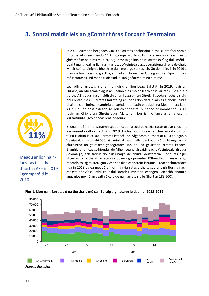## **3. Sonraí maidir leis an gComhchóras Eorpach Tearmainn**

In 2019, cuireadh beagnach 740 000 iarratas ar chosaint idirnáisiúnta faoi bhráid thíortha AE+, sin méadú 11% i gcomparáid le 2018. Ba é seo an chéad uair ó ghéarchéim na himirce in 2015 gur thosaigh líon na n-iarratasóirí ag dul i méid, i bpáirt mar gheall ar líon na n-iarratas ó Veiniséala agus ó náisiúnaigh eile de chuid Mheiriceá Laidinigh a bheith ag dul i méid go suntasach. Go deimhin, is in 2019 a fuair na tíortha is mó glactha, amhail an Fhrainc, an Ghréig agus an Spáinn, níos mó iarratasóirí ná mar a fuair siad le linn ghéarchéim na himirce.

Leanadh d'iarratais a bheith á ndíriú ar líon beag Ballstát. In 2019, fuair an Fhrainc, an Ghearmáin agus an Spáinn níos mó ná leath na n-iarratas uile a fuair tíortha AE+, agus ina dhiaidh sin ar an liosta bhí an Ghréig. I gcodarsnacht leis sin, bhí i bhfad níos lú iarratas faighte ag an Iodáil don dara bliain as a chéile, rud a bhain leis an imirce neamhrialta laghdaithe feadh bhealach na Meánmhara Láir. Ag dul ó líon absalóideach go líon coibhneasta, bunaithe ar ríomhanna EASO, fuair an Chipir, an Ghréig agus Málta an líon is mó iarratas ar chosaint idirnáisiúnta i gcoibhneas lena ndaonra.

B'ionann trí thír tionscnaimh agus an ceathrú cuid de na hiarratais uile ar chosaint idirnáisiúnta i dtíortha AE+ in 2019. I ndearbhuimhreacha, chuir iarratasóirí ón tSiria tuairim is 80 000 iarratas isteach, ón Afganastáin (thart ar 61 000) agus ó Veiniséala (thart ar 46 000). Go minic d'fhéadfadh go mbeadh ról ag teanga, naisc chultúrtha nó gaireacht gheografach san áit ina gcuirtear iarratas isteach. B'amhlaidh an cás go hiondúil do Mheiriceánaigh Laidineacha (Veiniséalaigh agus Colómaigh, ach freisin do náisiúnaigh de chuid Ghuatamala, Hondúras agus Nicearagua) a thaisc iarratais sa Spáinn go príomha. D'fhéadfadh freisin sé go mbeadh ról ag taisteal gan víosa san áit a dtaisctear iarratas. Treocht shuntasach nua in 2019 ba ea méadú ar líon na n-iarratas a thaisc saoránaigh tíortha nach dteastaíonn víosa uathu chun dul isteach i limistéar Schengen, líon arbh ionann é agus níos mó ná an ceathrú cuid de na hiarratais uile (thart ar 188 500).



#### **Fíor 1. Líon na n-iarratas ó na tíortha is mó san Eoraip a ghlacann le daoine, 2018-2019**



Méadú ar líon na niarratas taiscthe i dtíortha AE+ in 2019 i gcomparáid le 2018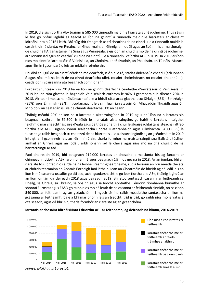In 2019, d'eisigh tíortha AE+ tuairim is 585 000 cinneadh maidir le hiarratais chéadchéime. Thug sé sin le fios go bhfuil laghdú ag teacht ar líon na gcinntí a rinneadh maidir le hiarratais ar chosaint idirnáisiúnta ó 2016 i leith. Bhí cúig thír freagrach as trí cheathrú de na cinntí uile a rinneadh maidir le cosaint idirnáisiúnta: An Fhrainc, an Ghearmáin, an Ghréig, an Iodáil agus an Spáinn. Is ar náisiúnaigh de chuid na hAfganastáine, na Siria agus Veiniséala, a eisíodh an chuid is mó de na cinntí céadchéime, arb ionann iad agus an ceathrú cuid de na cinntí uile a rinneadh i dtíortha AE+ in 2019. In 2019 eisíodh níos mó cinntí d'iarratasóirí ó Veiniséala, an Cholóim, an tSalvadóir, an Phalaistín, an Túinéis, Maracó agus Éimin i gcomparáid leis an mbliain roimhe sin.

Bhí dhá chúigiú de na cinntí céadchéime dearfach, is é sin le rá, stádas dídeanaí a cheadú (arb ionann é agus níos mó ná leath de na cinntí dearfacha uile), cosaint choimhdeach nó cosaint dhaonnúil (a ceadaíodh i scaireanna atá beagnach comhionann).

Forbairt shuntasach in 2019 ba ea líon na gcinntí dearfacha ceadaithe d'iarratasóirí ó Veiniséala. In 2019 bhí an ráta glactha le haghaidh Veiniséalach cothrom le 96%, i gcomparáid le díreach 29% in 2018. Áirítear i measc na náisiúntachtaí eile a bhfuil rátaí arda glactha acu: Siriaigh (86%), Eiritréaigh (85%) agus Éiminigh (82%). I gcodarsnacht leis sin, fuair iarratasóirí ón Mhacadóin Thuaidh agus ón Mholdóiv an céatadán is ísle de chinntí dearfacha, 1% an ceann.

Tháinig méadú 20% ar líon na n-iarratas a aistarraingíodh in 2019 agus bhí líon na n-iarratas sin beagnach cothrom le 69 500. Is féidir le hiarratais aistarraingthe, go háirithe iarratais intuigthe, feidhmiú mar sheachtháscaire d'éalú agus de thús a bheith á chur le gluaiseachtaí tánaisteacha i dtreo tíortha eile AE+. Tugann sonraí sealadacha Chóras Luathrabhaidh agus Ullmhachta EASO (EPS) le tuiscint go raibh beagnach trí cheathrú de na hiarratais uile a aistarraingíodh ag an gcéadchéim in 2019 intuigthe. I gcomhréir leis an léirmhíniú sin, tharla formhór na n-aistarraingtí sna Ballstáit túslíne, amhail an Ghréig agus an Iodáil, arbh ionann iad le chéile agus níos mó ná dhá chúigiú de na haistarraingtí ar fad.

Faoi dheireadh 2019, bhí beagnach 912 000 iarratas ar chosaint idirnáisiúnta fós ag fanacht ar chinneadh i dtíortha AE+, arbh ionann é agus beagnach 1% níos mó ná in 2018. Ar an iomlán, bhí an riaráiste fós i bhfad níos airde ná na leibhéil réamh-ghéarchéime, rud a léiríonn an brú méadaithe atá ar chórais tearmainn an Aontais Eorpaigh faoi láthair. Lean an Ghearmáin de bheith ag déileáil leis an líon is mó cásanna oscailte go dtí seo, ach i gcodarsnacht le go leor tíortha eile AE+, tháinig laghdú ar an líon iomlán idir deireadh 2018 agus deireadh 2019. Bhí stoc suntasach cásanna ar feitheamh sa Bheilg, sa Ghréig, sa Fhrainc, sa Spáinn agus sa Ríocht Aontaithe. Léiríonn ríomhanna bunaithe ar shonraí Eurostat agus EASO go raibh níos mó ná leath de na cásanna ar feitheamh cinnidh, nó os cionn 540 000, ar feitheamh ag an gcéadchéim. I ngach tír ina raibh méaduithe suntasacha ar líon na gcásanna ar feitheamh, ba é a bhí mar bhonn leis an treocht, tríd is tríd, go raibh níos mó iarratas á dtaisceadh, agus dá bhrí sin, tharla formhór an riaráiste ag an gcéadchéim.



#### **Iarratais ar chosaint idirnáisiúnta i dtíortha AE+ ar feitheamh, ag deireadh na bliana, 2014-2019**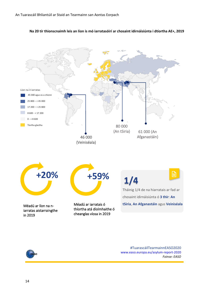

**Na 20 tír thionscnaimh leis an líon is mó iarratasóirí ar chosaint idirnáisiúnta i dtíortha AE+, 2019**



#TuarascáilTearmainnEASO2020 [www.easo.europa.eu/asylum-report-2020](http://www.easo.europa.eu/asylum-report-2020) *Foinse: EASO*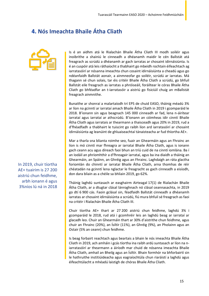## **4. Nós Imeachta Bhaile Átha Cliath**



Is é an aidhm atá le Rialachán Bhaile Átha Cliath III modh soiléir agus inoibrithe a shainiú le cinneadh a dhéanamh maidir le cén Ballstát atá freagrach as scrúdú a dhéanamh ar gach iarratas ar chosaint idirnáisiúnta. Is é an cuspóir atá leis ráthaíocht a thabhairt go mbeidh rochtain éifeachtach ag iarratasóirí ar nósanna imeachta chun cosaint idirnáisiúnta a cheadú agus go ndéanfaidh Ballstát aonair, a ainmneofar go soiléir, scrúdú ar iarratas. Má thagann sé chun solais, tar éis critéir Bhaile Átha Cliath a scrúdú, go bhfuil Ballstát eile freagrach as iarratas a phróiseáil, foráiltear le córas Bhaile Átha Cliath go bhféadfar an t-iarratasóir a aistriú go fisiciúil chuig an mBallstát freagrach ainmnithe.

Bunaithe ar shonraí a malartaíodh trí EPS de chuid EASO, tháinig méadú 3% ar líon na gcinntí ar iarrataí amach Bhaile Átha Cliath in 2019 i gcomparáid le 2018. B'ionann sin agus beagnach 145 000 cinneadh ar fad, lena n-áirítear iarrataí agus iarrataí ar athscrúdú. B'ionann an cóimheas idir cinntí Bhaile Átha Cliath agus iarratais ar thearmann a thaisceadh agus 20% in 2019, rud a d'fhéadfadh a thabhairt le tuiscint go raibh líon ard iarratasóirí ar chosaint idirnáisiúnta ag leanúint de ghluaiseachtaí tánaisteacha ar fud thíortha AE+.

Mar a tharla sna blianta roimhe seo, fuair an Ghearmáin agus an Fhrainc an líon is mó cinntí mar fhreagra ar iarrataí Bhaile Átha Cliath, agus is ionann gach ceann acu agus díreach faoi bhun an tríú cuid de na cinntí iomlána. Ba í an Iodáil an phríomhthír a d'fhreagair iarrataí, agus ba ina diaidh a tháinig an Ghearmáin, an Spáinn, an Ghréig agus an Fhrainc. Laghdaigh an ráta glactha foriomlán do chinntí ar iarrataí Bhaile Átha Cliath, arna thomhas de réir chéatadán na gcinntí lena nglactar le freagracht as gach cinneadh a eisíodh, don dara bliain as a chéile sa bhliain 2019, go 62%.

Tháinig laghdú suntasach ar easghairm Airteagal 17(1) de Rialachán Bhaile Átha Cliath, ar a dtugtar clásal lánroghnach nó clásal ceannasachta, in 2019 go dtí 6 900 cás. Faoin gclásal sin, féadfaidh Ballstát cinneadh a dhéanamh iarratas ar chosaint idirnáisiúnta a scrúdú, fiú mura bhfuil sé freagrach as faoi na critéir i Rialachán Bhaile Átha Cliath III.

Chuir tíortha AE+ thart ar 27 200 aistriú chun feidhme, laghdú 3% i gcomparáid le 2018, rud atá i gcomhréir leis an laghdú beag ar iarrataí ar glacadh leo. Chuir an Ghearmáin thart ar 30% d'aistrithe chun feidhme, agus chuir an Fhrainc (20%), an Ísiltír (11%), an Ghréig (9%), an Pholainn agus an Ostair (5% an ceann) chun feidhme.

Is beag forbairt reachtach agus beartais a bhain le nós imeachta Bhaile Átha Cliath in 2019, ach amháin i gcás tíortha ina raibh ardú suntasach ar líon na niarratasóirí ar thearmann a áiríodh mar chuid de nósanna imeachta Bhaile Átha Cliath, amhail an Bheilg agus an Ísiltír. Bhain formhór na bhforbairtí sin le hathruithe institiúideacha agus eagraíochtúla chun riaráistí a laghdú agus éifeachtúlacht a mhéadú laistigh de chóras Bhaile Átha Cliath.

In 2019, chuir tíortha AE+ tuairim is 27 200 aistriú chun feidhme, arbh ionann é agus 3%níos lú ná in 2018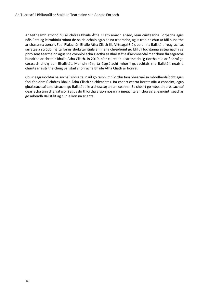Ar feitheamh athchóiriú ar chóras Bhaile Átha Cliath amach anseo, lean cúirteanna Eorpacha agus náisiúnta ag léirmhíniú roinnt de na rialacháin agus de na treoracha, agus treoir a chur ar fáil bunaithe ar chásanna aonair. Faoi Rialachán Bhaile Átha Cliath III, Airteagal 3(2), beidh na Ballstáit freagrach as iarratas a scrúdú má tá forais shubstaintiúla ann lena chreidiúint go bhfuil lochtanna sistéamacha sa phróiseas tearmainn agus sna coinníollacha glactha sa Bhallstát a d'ainmneofaí mar chinn fhreagracha bunaithe ar chritéir Bhaile Átha Cliath. In 2019, níor cuireadh aistrithe chuig tíortha eile ar fionraí go córasach chuig aon Bhallstát. Mar sin féin, tá éagsúlacht mhór i gcleachtais sna Ballstáit nuair a chuirtear aistrithe chuig Ballstáit shonracha Bhaile Átha Cliath ar fionraí.

Chuir eagraíochtaí na sochaí sibhialta in iúl go raibh imní orthu faoi bhearnaí sa mhodheolaíocht agus faoi fheidhmiú chóras Bhaile Átha Cliath sa chleachtas. Ba cheart cearta iarratasóirí a chosaint, agus gluaiseachtaí tánaisteacha go Ballstát eile a chosc ag an am céanna. Ba cheart go mbeadh dreasachtaí dearfacha ann d'iarratasóirí agus do thíortha araon nósanna imeachta an chórais a leanúint, seachas go mbeadh Ballstáit ag cur le líon na srianta.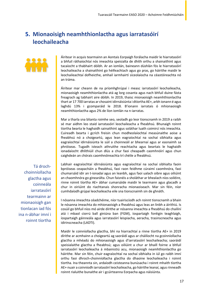## **5. Mionaoisigh neamhthionlactha agus iarratasóirí leochaileacha**



Áirítear in acquis tearmainn an Aontais Eorpaigh forálacha maidir le hiarratasóirí a bhfuil ráthaíochtaí nós imeachta speisialta de dhíth orthu a shainaithint agus tacaíocht a thabhairt dóibh. Ar an iomlán, baineann dúshlán fós le hiarratasóirí leochaileacha a shainaithint go héifeachtach agus go pras, go háirithe maidir le leochaileachtaí dofheicthe, amhail iarmhairtí síceolaíocha na céastóireachta nó an tráma.

Áirítear mar cheann de na príomhghrúpaí i measc iarratasóirí leochaileacha, mionaoisigh neamhthionlactha atá ag lorg cosanta agus nach bhfuil duine fásta freagrach ag tabhairt aire dóibh. In 2019, thaisc mionaoisigh neamhthionlactha thart ar 17 700 iarratas ar chosaint idirnáisiúnta i dtíortha AE+, arbh ionann é agus laghdú 13% i gcomparáid le 2018. B'ionann iarratais ó mhionaoisigh neamhthionlactha agus 2% de líon iomlán na n-iarratas.

Mar a tharla sna blianta roimhe seo, seoladh go leor tionscnamh in 2019 a raibh sé mar aidhm leo staid iarratasóirí leochaileacha a fheabhsú. Bhunaigh roinnt tíortha bearta le haghaidh sainaithint agus soláthar luath coimircí nós imeachta. Cuireadh bearta i gcrích freisin chun modheolaíochtaí measúnaithe aoise a fheabhsú nó a choigeartú, agus lean eagraíochtaí na sochaí sibhialta agus eagraíochtaí idirnáisiúnta le súil a choinneáil ar bhearnaí agus ar easnaimh sa phróiseas. Tugadh isteach athruithe reachtacha agus beartais le haghaidh ionadaíocht dhlíthiúil chun dlús a chur faoi cheapadh caomhnóirí agus chun caighdeán an chórais caomhnóireachta trí chéile a fheabhsú.

Tá drochchoinníollacha glactha agus coinneála iarratasóirí tearmainn ar mionaoisigh gan tionlacan iad fós ina n-ábhar imní i roinnt tíortha Labhair eagraíochtaí idirnáisiúnta agus eagraíochtaí na sochaí sibhialta faoin bpróiseas ceapacháin a fheabhsú, faoi raon feidhme cúraimí caomhnóra, faoi chumarsáid idir an t-ionadaí agus an leanbh, agus faoi ualach oibre agus oiliúint an chaomhnóra go ginearálta. Chun faisnéis a sholáthar ar bhealach níos soiléire, rinne roinnt tíortha AE+ ábhar cumarsáide maidir le tearmann agus glacadh a chur in oiriúint do riachtanais shonracha mionaoiseach. Mar sin féin, níor cumhdaíodh grúpaí leochaileacha eile sna tionscnaimh sin de ghnáth.

I nósanna imeachta céadchéime, níor tuairiscíodh ach roinnt tionscnamh a bhain le nósanna imeachta do mhionaoisigh a fheabhsú agus leas an linbh a áirithiú. Is cosúil go bhfuil níos mó airde dírithe ar nósanna imeachta a fheabhsú do chailíní atá i mbaol ciorrú ball giniúna ban (FGM), íospartaigh foréigin teaghlaigh, íospartaigh gáinneála agus iarratasóirí leispiacha, aeracha, trasinscneacha agus idirinscneacha (LADTI).

Maidir le coinníollacha glactha, bhí na hiarrachtaí a rinne tíortha AE+ in 2019 dírithe ar acmhainn a choigeartú ag saoráidí agus ar cháilíocht na gcoinníollacha glactha a mhéadú do mhionaoisigh agus d'iarratasóirí leochaileacha; saoráidí speisialaithe glactha a fheabhsú; agus oiliúint a chur ar bhaill foirne a bhfuil iarratasóirí leochaileacha á mbainistiú acu, mionaoisigh neamhthionlactha go háirithe. Mar sin féin, chuir eagraíochtaí na sochaí sibhialta in iúl go raibh imní orthu faoi dhroch-choinníollacha glactha do dhaoine leochaileacha i roinnt tíortha. Ina theannta sin, ardaíodh ceisteanna bunúsacha i roinnt mhaith tíortha AE+ nuair a coinníodh iarratasóirí leochaileacha, go háirithe leanaí, agus rinneadh roinnt rialuithe bunaithe air i gcúirteanna Eorpacha agus náisiúnta.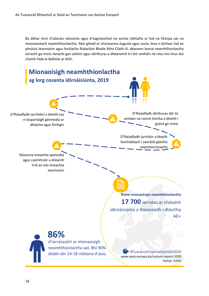Ba ábhar imní d'údaráis náisiúnta agus d'eagraíochtaí na sochaí sibhialta ar fud na hEorpa cás na mionaoiseach neamhthionlactha. Mar gheall ar chúiseanna éagsúla agus casta, lena n-áirítear fad an phróisis tearmainn agus forálacha Rialachán Bhaile Átha Cliath III, déanann leanaí neamhthionlactha iarracht go minic fanacht gan aithint agus idirthuras a dhéanamh trí thír amháin nó níos mó chun dul chomh fada le Ballstát ar leith.

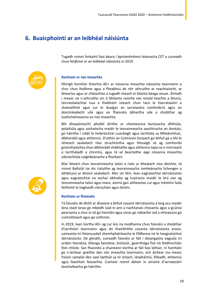## **6. Buaicphointí ar an leibhéal náisiúnta**

Tugadh roinnt forbairtí faoi deara i bpríomhréimsí téamacha CET a cuireadh chun feidhme ar an leibhéal náisiúnta in 2019.



#### **Rochtain ar nós imeachta**

Dhírigh formhór thíortha AE+ ar nósanna imeachta náisiúnta tearmainn a chur chun feidhme agus a fheabhsú de réir athruithe ar reachtaíocht, ar bheartas agus ar chleachtas a tugadh isteach le blianta beaga anuas. Áiríodh i measc na n-athruithe sin ó bhlianta roimhe seo ionaid teachta a bhunú, teicneolaíochtaí nua a thabhairt isteach chun tacú le hiarratasóirí a shainaithint agus cur le dualgas an iarratasóra comhoibriú agus an doiciméadacht uile agus an fhaisnéis ábhartha uile a sholáthar ag luathchéimeanna an nós imeachta.

Bhí díospóireacht phoiblí dírithe ar cheisteanna bunúsacha dlíthiúla, polaitiúla agus sochaíocha maidir le teorainneacha seachtracha an Aontais, go háirithe i ndáil le hoibríochtaí cuardaigh agus tarrthála sa Mheánmhuir, díbhordáil agus athlonnú. D'aithin an Coimisiún Eorpach go bhfuil gá a bhí le réiteach sealadach níos struchtúrtha agus thosaigh sé ag comhordú gníomhaíochta chun díbhordáil shábháilte agus athlonnú tapa na n-imirceach a tarrtháladh a chinntiú, agus tá sé beartaithe aige nósanna imeachta oibríochtúla caighdeánacha a fhorbairt.

Mar bheart chun teorainneacha talún a rialú ar bhealach níos doichte, tá roinnt Ballstát tar éis rialuithe ag teorainneacha inmheánacha Schengen a athbhunú ar bhonn sealadach. Mar sin féin, lean eagraíochtaí idirnáisiúnta agus eagraíochtaí na sochaí sibhialta ag tuairisciú maidir le brú siar ag teorainneacha talún agus mara, aistriú gan aitheantas cuí agus tréimhsí fada feithimh le haghaidh clárúcháin agus lóistín.

#### **Rochtain ar fhaisnéis**

Tá faisnéis de dhíth ar dhaoine a bhfuil cosaint idirnáisiúnta á lorg acu maidir lena staid ionas go mbeidh siad in ann a riachtanais chosanta agus a gcúinsí pearsanta a chur in iúl go hiomlán agus ionas go ndéanfar iad a mheasúnú go cuimsitheach agus go cothrom.

In 2019, lean tíortha AE+ ag cur leis na modhanna chun faisnéis a sholáthar d'iarrthóirí tearmainn agus do thairbhithe cosanta idirnáisiúnta araon, uaireanta trí thionscadail chomhpháirteacha le ENRanna nó le heagraíochtaí idirnáisiúnta. De ghnáth, cuireadh faisnéis ar fáil i dteangacha éagsúla trí ardáin faisnéise, bileoga faisnéise, bróisiúir, gearrthóga físe nó feidhmchláir fóin chliste. San fhaisnéis a chuireann tíortha ar fáil faoi láthair, ní hamháin go n-áirítear gnéithe den nós imeachta tearmainn, ach áirítear ina measc freisin samplaí den saol laethúil sa tír óstach, lánpháirtiú, filleadh, athlonnú agus feachtais feasachta. Cuirtear roinnt ábhair in oiriúint d'iarratasóirí leochaileacha go háirithe.

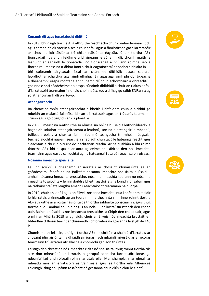#### **Cúnamh dlí agus ionadaíocht dhlíthiúil**

In 2019, bhunaigh tíortha AE+ athruithe reachtacha chun comhairleoireacht dlí agus comhairle dlí saor in aisce a chur ar fáil agus a fhorbairt do gach iarratasóir ar chosaint idirnáisiúnta trí chláir náisiúnta éagsúla. Chuir tíortha AE+ tionscadail nua chun feidhme a bhaineann le cúnamh dlí, chomh maith le leanúint ar aghaidh le tionscadail nó tionscadail a bhí ann roimhe seo a fhorbairt. I measc na n-ábhar imní a chuir eagraíochtaí na sochaí sibhialta in iúl bhí cúiteamh airgeadais íseal ar chúnamh dlíthiúil; easpa saoráidí leordhóthanacha chun agallaimh ullmhúcháin agus agallaimh phríobháideacha a dhéanamh; easpa rochtana ar chúnamh dlí chun achomhairc a dhréachtú i gcoinne cinntí céadchéime nó easpa cúnaimh dhlíthiúil a chuir an rialtas ar fáil d'iarratasóirí tearmainn in ionaid choinneála, rud a d'fhág go raibh ENRanna ag soláthar cúnamh dlí *pro bono*.

#### **Ateangaireacht**

Ba cheart seirbhísí ateangaireachta a bheith i bhfeidhm chun a áirithiú go mbeidh an malartú faisnéise idir an t-iarratasóir agus an t-údarás tearmainn cruinn agus go dtuigfidh an dá pháirtí é.

In 2019, i measc na n-athruithe sa réimse sin bhí na buiséid a leithdháileadh le haghaidh soláthar ateangaireachta a leathnú, líon na n-ateangairí a mhéadú, tuilleadh eolais a chur ar fáil i níos mó teangacha trí mheáin éagsúla, teicneolaíochtaí nua-aimseartha a sheoladh chun tacú le hateangaireacht agus cleachtais a chur in oiriúint do riachtanais reatha. Ar na dúshláin a bhí roimh thíortha AE+ bhí easpa pearsanra ag céimeanna áirithe den nós imeachta tearmainn agus easpa cáilíochtaí ag na hateangairí atá páirteach sa phróiseas.

#### **Nósanna imeachta speisialta**

Le linn scrúdú a dhéanamh ar iarratais ar chosaint idirnáisiúnta ag an gcéadchéim, féadfaidh na Ballstáit nósanna imeachta speisialta a úsáid – amhail nósanna imeachta brostaithe, nósanna imeachta teorann nó nósanna imeachta tosaíochta – le linn dóibh a bheith ag cloí leis na bunphrionsabail agus na ráthaíochtaí atá leagtha amach i reachtaíocht tearmainn na hEorpa.

In 2019, chuir an Iodáil agus an Eilvéis nósanna imeachta nua i bhfeidhm maidir le hiarratais a rinneadh ag an teorainn. Ina theannta sin, rinne roinnt tíortha AE+ athruithe ar a liostaí náisiúnta de thíortha sábháilte tionscnaimh, agus thug tíortha eile – amhail an Chipir agus an Iodáil – na liostaí sin isteach den chéad uair. Baineadh úsáid as nós imeachta brostaithe sa Chipir den chéad uair, agus ó mhí an Mhárta 2019 ar aghaidh, chuir an Eilvéis nós imeachta brostaithe i bhfeidhm d'fhonn teacht ar chinneadh i bhformhór na gcásanna laistigh de 140 lá.

Chomh maith leis sin, dhírigh tíortha AE+ ar chritéir a shainiú d'iarratais ar chosaint idirnáisiúnta ina dhiaidh sin ionas nach mbainfí mí-úsáid as an gcóras tearmainn trí iarratais atriallacha a chomhdú gan aon fhiúntas.

Laistigh den chreat de nós imeachta rialta nó speisialta, thug roinnt tíortha tús áite don mheasúnú ar iarratais ó ghrúpaí sonracha iarratasóirí ionas go ndéanfaí iad a phróiseáil roimh iarratais eile. Mar shampla, mar gheall ar mhéadú mór ar iarratasóirí as Veiniséala agus as tíortha eile Mheiriceá Laidinigh, thug an Spáinn tosaíocht dá gcásanna chun dlús a chur le cinntí.





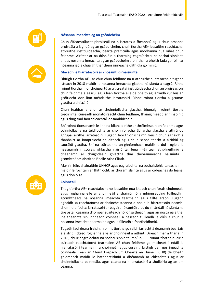



#### **Nósanna imeachta ag an gcéadchéim**

Chun éifeachtúlacht phróiseáil na n-iarratas a fheabhsú agus chun amanna próiseála a laghdú ag an gcéad chéim, chuir tíortha AE+ leasuithe reachtacha, athruithe institiúideacha, bearta praiticiúla agus modhanna nua oibre chun feidhme. Áirítear ar na dúshláin a tharraing eagraíochtaí na sochaí sibhialta anuas nósanna imeachta ag an gcéadchéim a bhí thar a bheith fada go fóill, ar nósanna iad a chuaigh thar theorainneacha dlíthiúla go minic.

#### **Glacadh le hiarratasóirí ar chosaint idirnáisiúnta**

Dhírigh tíortha AE+ ar chur chun feidhme na n-athruithe suntasacha a tugadh isteach in 2018 maidir le nósanna imeachta glactha náisiúnta a eagrú. Rinne roinnt tíortha mionchoigeartú ar a gcreataí institiúideacha chun an próiseas cur chun feidhme a éascú, agus lean tíortha eile de bheith ag iarraidh cur leis an gcóiríocht don líon méadaithe iarratasóirí. Rinne roinnt tíortha a gcumas glactha a dhíscálú.

Chun feabhas a chur ar choinníollacha glactha, bhunaigh roinnt tíortha treoirlínte, cuireadh monatóireacht chun feidhme, tháinig méadú ar mhaoiniú agus thug siad faoi chleachtaí ionsamhlúcháin.

Bhí roinnt tionscnamh le linn na bliana dírithe ar thréimhse, raon feidhme agus coinníollacha na teidlíochta ar choinníollacha ábhartha glactha a athrú do ghrúpaí áirithe iarratasóirí. Tugadh faoi thionscnaimh freisin chun aghaidh a thabhairt ar iompraíocht shuaiteach agus chun sábháilteacht a áirithiú ag saoráidí glactha. Bhí na cúirteanna an-ghníomhach maidir le dul i ngleic le heasnaimh i gcórais ghlactha náisiúnta, lena n-áirítear athbhreithniú a dhéanamh ar chaighdeáin ghlactha thar theorainneacha náisiúnta i gcomhthéacs aistrithe Bhaile Átha Cliath.

Mar sin féin, shainaithin UNHCR agus eagraíochtaí na sochaí sibhialta easnaimh maidir le rochtain ar thithíocht, ar chúram sláinte agus ar oideachas do leanaí agus don óige.

#### **Coinneáil**

Thug tíortha AE+ reachtaíocht nó leasuithe nua isteach chun forais choinneála agus roghanna eile ar choinneáil a shainiú nó a mhionsaothrú tuilleadh i gcomhthéacs na nósanna imeachta tearmainn agus fillte araon. Tugadh aghaidh sa reachtaíocht ar shaincheisteanna a bhain le hiarratasóirí neamhchomhoibríocha; iarratasóirí ar bagairt nó contúirt iad do shlándáil náisiúnta na tíre óstaí; cásanna d'iompar suaiteach nó ionsaitheach; agus an riosca éalaithe. Ina theannta sin, rinneadh coinneáil a nascadh tuilleadh le dlús a chur le nósanna imeachta tearmainn agus le filleadh a fhorfheidhmiú.

Tugadh faoi deara freisin, i roinnt tíortha go raibh iarracht á déanamh beartais a aistriú i dtreo roghanna eile ar choinneáil a aithint. Díreach mar a tharla in 2018, chuir eagraíochtaí na sochaí sibhialta imní in iúl i roinnt tíortha nuair a cuireadh reachtaíocht tearmainn AE chun feidhme go mícheart i ndáil le hiarratasóirí tearmainn a choinneáil agus cosaintí laistigh den nós imeachta coinneála. Lean an Chúirt Eorpach um Chearta an Duine (ECHR) de bheith gníomhach maidir le hathbhreithniú a dhéanamh ar chleachtais agus ar choinníollacha coinneála, agus cearta na n-iarratasóirí a shoiléiriú ag an am céanna.

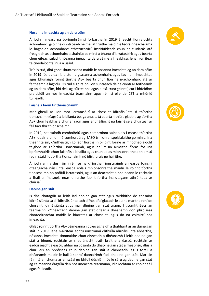#### **Nósanna imeachta ag an dara céim**

Áiríodh i measc na bpríomhréimsí forbartha in 2019 éifeacht fionraíochta achomharc i gcoinne cinntí céadchéime; athruithe maidir le teorainneacha ama le haghaidh achomharc; athstruchtúrú institiúideach chun an t-údarás atá freagrach as achomhairc a shainiú; coimircí a bhunú d'iarratasóirí; agus bearta chun éifeachtúlacht nósanna imeachta dara céime a fheabhsú, lena n-áirítear teicneolaíochtaí nua a úsáid.

Tríd is tríd, dhá ghné shuntasacha maidir le nósanna imeachta ag an dara céim in 2019 fós ba ea riaráiste na gcásanna achomhairc agus fad na n-imeachtaí, agus bhunaigh roinnt tíortha AE+ bearta chun líon na n-achomharc atá ar feitheamh a laghdú. Ós rud é go raibh líon suntasach de na cinntí ar feitheamh ag an dara céim, bhí deis ag cúirteanna agus binsí, trína gcinntí, cur i bhfeidhm praiticiúil an nós imeachta tearmainn agus réimsí eile de CET a mhúnlú tuilleadh.

#### **Faisnéis faoin tír thionscnaimh**

Mar gheall ar líon mór iarratasóirí ar chosaint idirnáisiúnta ó thíortha tionscnaimh éagsúla le blianta beaga anuas, tá bearta nithiúla glactha ag tíortha AE+ chun feabhas a chur ar raon agus ar cháilíocht na faisnéise a chuirtear ar fáil faoi thír thionscnaimh.

In 2019, neartaíodh comhoibriú agus comhroinnt saineolais i measc thíortha AE+, obair a bhíonn á comhordú ag EASO trí líonraí speisialaithe go minic. Ina theannta sin, d'infheistigh go leor tíortha in oiliúint foirne ar mhodheolaíocht taighde ar Thíortha Tionscnaimh, agus bhí misin aimsithe fíoras fós ina bpríomhuirlis chun faisnéis a bhailiú agus chun eolas mionsonraithe a thiomsú faoin staid i dtíortha tionscnaimh nó idirthurais go háirithe.

Áiríodh ar na dúshláin i réimse na dTíortha Tionscnaimh an easpa foinsí i dteangacha náisiúnta, easpa eolais mhionsonraithe maidir le roinnt tíortha tionscnaimh nó próifílí iarratasóirí, agus an deacracht a bhaineann le rochtain a fháil ar fhaisnéis nuashonraithe faoi thíortha ina dtagann athrú tapa ar chúrsaí.

#### **Daoine gan stát**

Is dhá chatagóir ar leith iad daoine gan stát agus tairbhithe de chosaint idirnáisiúnta sa dlí idirnáisiúnta, ach d'fhéadfaí glacadh le duine mar thairbhí de chosaint idirnáisiúnta agus mar dhuine gan stát araon. I gcomhthéacs an tearmainn, d'fhéadfadh daoine gan stát difear a dhéanamh don phróiseas cinnteoireachta maidir le hiarratas ar chosaint, agus do na coimircí nós imeachta.

Ghlac roinnt tíortha AE+ céimeanna i dtreo aghaidh a thabhairt ar an duine gan stát in 2019, lena n-áirítear aontú ionstraimí dlíthiúla idirnáisiúnta ábhartha, nósanna imeachta tiomnaithe chun cinneadh a dhéanamh i leith daoine gan stát a bhunú, rochtain ar shaoránacht tráth breithe a éascú, rochtain ar eadóirseacht a éascú, ábhar na cosanta do dhaoine gan stát a fheabhsú, dlús a chur leis an bpróiseas chun daoine gan stát a chinneadh, agus foráil a dhéanamh maidir le bailiú sonraí daonáirimh faoi dhaoine gan stát. Mar sin féin, tá an chuma ar an scéal go bhfuil dúshláin fós le sárú ag daoine gan stát ag céimeanna éagsúla den nós imeachta tearmainn, idir rochtain ar choinneáil agus fhilleadh.





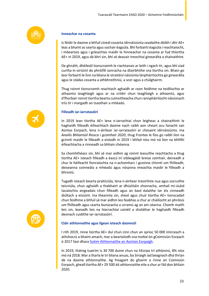

#### **Inneachar na cosanta**

Is féidir le daoine a bhfuil cineál cosanta idirnáisiúnta ceadaithe dóibh i dtír AE+ leas a bhaint as cearta agus sochair éagsúla. Bhí forbairtí éagsúla i reachtaíocht, i mbeartais agus i gcleachtas maidir le hinneachar na cosanta ar fud thíortha AE+ in 2019, agus dá bhrí sin, bhí sé deacair treochtaí ginearálta a shainaithint.

De ghnáth, dhéileáil tionscnaimh le riachtanais ar leith i ngach tír, agus bhí siad curtha in oiriúint do phróifílí sonracha na dtairbhithe sna tíortha sin. Bhain go leor forbairtí le linn na bliana le straitéisí náisiúnta lánpháirtíochta go ginearálta agus le stádas cosanta a athbhreithniú, a scor agus a chúlghairm.

Thug roinnt tionscnamh reachtach aghaidh ar raon feidhme na teidlíochta ar athaontú teaghlaigh agus ar na critéir chun teaghlaigh a athaontú, agus d'fhorbair roinnt tíortha bearta cuimsitheacha chun rannpháirtíocht náisiúnach tríú tír i margadh an tsaothair a mhéadú.

#### **Filleadh iar-iarratasóirí**

In 2019 lean tíortha AE+ lena n-iarrachtaí chun leigheas a shainaithint le haghaidh filleadh éifeachtach daoine nach raibh aon cheart acu fanacht san Aontas Eorpach, lena n-áirítear iar-iarratasóirí ar chosaint idirnáisiúnta. Ina *Anailís Bhliantúil Riosca i gcomhair 2020*, thug Frontex le fios go raibh líon na gcinntí maidir le filleadh a eisíodh in 2019 i bhfad níos mó ná líon na bhfilltí éifeachtacha a rinneadh sa bhliain chéanna.

Sa chomhthéacs sin, bhí sé mar aidhm ag roinnt leasuithe reachtacha a thug tíortha AE+ isteach filleadh a éascú trí oibleagáidí breise comhair, deireadh a chur le héifeacht fionraíochta na n-achomharc i gcoinne chinntí um fhilleadh, deiseanna coinneála a mhéadú agus nósanna imeachta maidir le filleadh a bhrostú.

Tugadh isteach bearta praiticiúla, lena n-áirítear treoirlínte nua agus socruithe teicniúla, chun aghaidh a thabhairt ar dhúshláin shonracha, amhail mí-úsáid tacaíochta airgeadais chun filleadh agus an baol éalaithe tar éis cinneadh diúltach a eisiúint. Ina theannta sin, sheol agus chuir tíortha AE+ tionscadail chun feidhme a bhfuil sé mar aidhm leo feabhas a chur ar cháilíocht an phróisis um fhilleadh agus cearta bunúsacha a urramú ag an am céanna. Chomh maith leis sin, leanadh leis na hiarrachtaí cainéil a sholáthar le haghaidh filleadh deonach cuidithe iar-iarratasóirí.

#### **Cláir athlonnaithe agus ligean isteach daonnúil**

I rith 2019, rinne tíortha AE+ dul chun cinn chun an sprioc 50 000 imirceach a athshocrú a bhaint amach, mar a beartaíodh sna moltaí ón gCoimisiún Eorpach ó 2017 faoi dhara [Scéim Athlonnaithe an Aontais Eorpaigh.](https://ec.europa.eu/home-affairs/sites/homeaffairs/files/what-we-do/policies/european-agenda-migration/201912_delivering-on-resettlement.pdf)

In 2019, tháinig tuairim is 30 700 duine chun na hEorpa trí athlonnú, 8% níos mó ná 2018. Mar a tharla le trí bliana anuas, ba Siriaigh iad beagnach dhá thrian de na daoine athlonnaithe. Ag freagairt do ghairm a rinne an Coimisiún Eorpach, gheall tíortha AE+ 29 500 áit athlonnaithe eile a chur ar fáil don bhliain 2020.



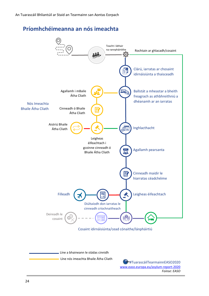**Príomhchéimeanna an nós imeachta** 



*Foinse: EASO*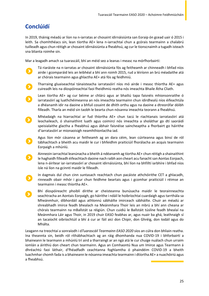## **Conclúidí**

In 2019, tháinig méadú ar líon na n-iarratas ar chosaint idirnáisiúnta san Eoraip ón gcead uair ó 2015 i leith. Sa chomhthéacs sin, lean tíortha AE+ lena n-iarrachtaí chun a gcórais tearmainn a chalabrú tuilleadh agus chun réitigh ar chosaint idirnáisiúnta a fheabhsú, ag cur le tionscnaimh a tugadh isteach sna blianta roimhe sin.

Mar a leagadh amach sa tuarascáil, bhí an méid seo a leanas i measc na mórfhorbairtí:

- Tá riaráiste na n-iarratas ar chosaint idirnáisiúnta fós ag feitheamh ar chinneadh i bhfad níos airde i gcomparáid leis an leibhéal a bhí ann roimh 2015, rud a léiríonn an brú méadaithe atá ar chórais tearmainn agus ghlactha AE+ atá fós ag feidhmiú.
- Tharraing gluaiseachtaí tánaisteacha iarratasóirí níos mó airde i measc thíortha AE+ agus cuireadh leis na díospóireachtaí faoi fheidhmiú reatha nós imeachta Bhaile Átha Cliath.
- Lean tíortha AE+ ag cur béime ar chlárú agus ar bhailiú tapa faisnéis mhionsonraithe ó iarratasóirí ag luathchéimeanna an nós imeachta tearmainn chun idirdhealú níos éifeachtúla a dhéanamh idir na daoine a bhfuil cosaint de dhíth orthu agus na daoine a dtreorófar dóibh filleadh. Tharla an méid sin taobh le bearta chun nósanna imeachta teorann a fheabhsú.
- Mhéadaigh na hiarrachtaí ar fud thíortha AE+ chun tacú le riachtanais iarratasóirí atá leochaileach, ó shainaithint luath agus coimircí nós imeachta a sholáthar go dtí saoráidí speisialaithe glactha a fheabhsú agus ábhair faisnéise saincheaptha a fhorbairt go háirithe d'iarratasóirí ar mionaoisigh neamhthionlactha iad.
- Agus líon mór cásanna ar feitheamh ag an dara céim, lean cúirteanna agus binsí de ról tábhachtach a bheith acu maidir le cur i bhfeidhm praiticiúil fhorálacha an acquis tearmainn Eorpaigh a mhúnlú.
	- Ainneoin iarrachtaí leanúnacha a bheith á ndéanamh ag tíortha AE+ chun réitigh a shainaithint le haghaidh filleadh éifeachtach daoine nach raibh aon cheart acu fanacht san Aontas Eorpach, lena n-áirítear iar-iarratasóirí ar chosaint idirnáisiúnta, bhí líon na bhfilltí iarbhíre i bhfad níos ísle ná líon na gcinntí maidir le filleadh.
	- In éagmais dul chun cinn suntasach reachtach chun pacáiste athchóirithe CET a ghlacadh, rinneadh obair mhór i gcur chun feidhme beartais agus i gcomhar praiticiúil i réimse an tearmainn i measc thíortha AE+.
	- Bhí díospóireacht phoiblí dírithe ar cheisteanna bunúsacha maidir le teorainneachta seachtracha an Aontais Eorpaigh, go háirithe i ndáil le hoibríochtaí cuardaigh agus tarrthála sa Mheánmhuir, díbhordáil agus athlonnú sábháilte imirceach sábháilte. Chuir an méadú ar shreabhadh imirce feadh bhealach na Meánmhara Thoir leis an mbrú a bhí ann cheana ar chórais tearmainn na mBallstát sa réigiún. Chun cuidiú le Ballstáit túslíne feadh bhealaí na Meánmhara Láir agus Thoir, in 2019 chuir EASO feabhas ar, agus nuair ba ghá, leathnaigh sí an tacaíocht oibríochtúil a bhí á cur ar fáil aici don Chipir, don Ghréig, don Iodáil agus do Mhálta.

Leagann na treochtaí a sonraíodh i d*Tuarascáil Tearmainn EASO 2020* síos an cúlra don bhliain reatha. Ina theannta sin, beidh ról ríthábhachtach ag an ráig dhomhanda nua COVID-19 i bhforbairtí a bhaineann le tearmann a mhúnlú trí aird a tharraingt ar an ngá atá le cur chuige nuálach chun urraim iomlán a áirithiú don cheart chun tearmainn. Agus an Comhaontú Nua um Imirce agus Tearmann á dhréachtú faoi láthair, d'fhéadfadh ceachtanna foghlamtha ó phaindéim COVID-19 a bheith luachmhar chomh fada is a bhaineann le nósanna imeachta tearmainn i dtíortha AE+ a nuachóiriú agus a fheabhsú.